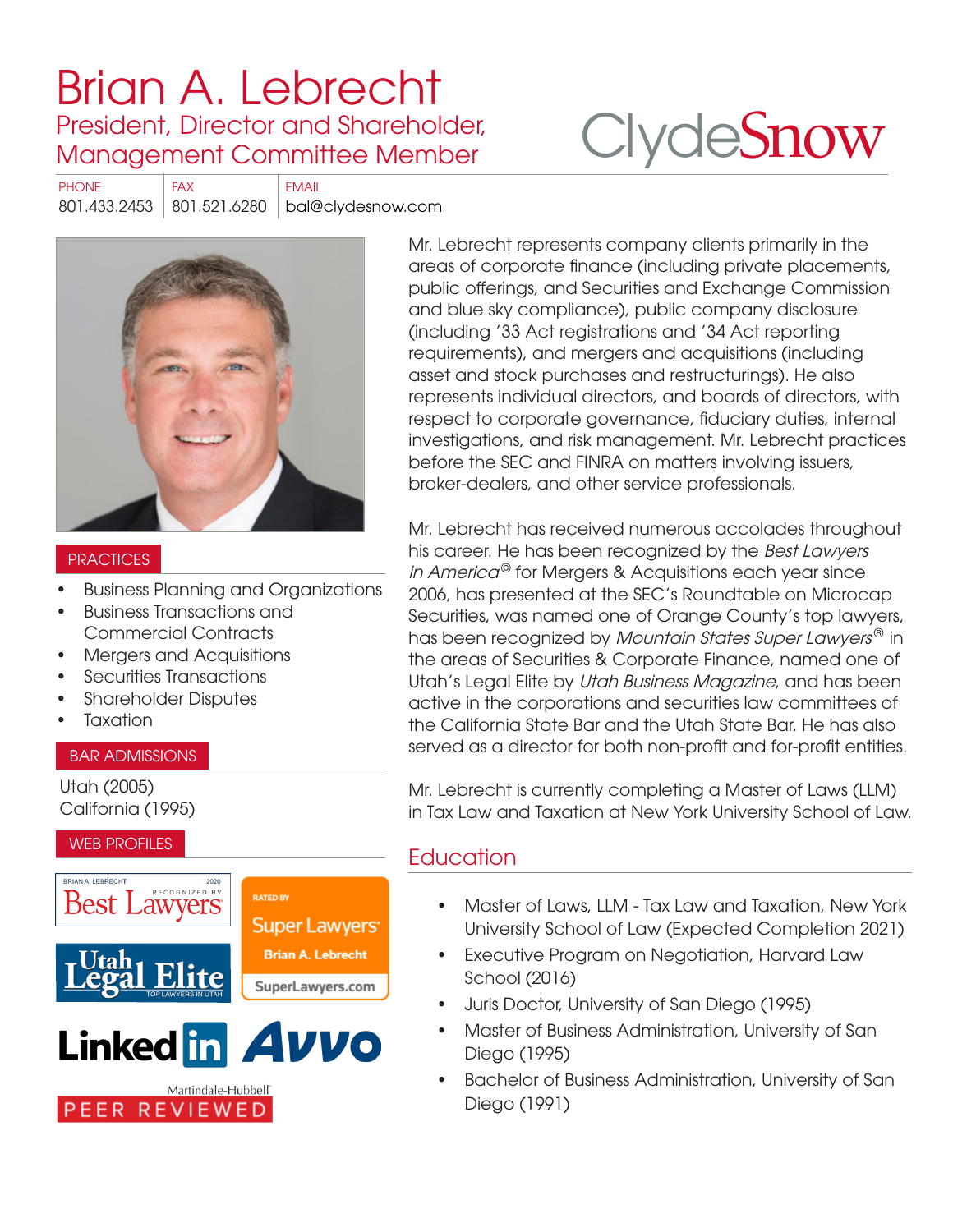# [Brian A. Lebrecht](https://www.clydesnow.com/attorneys/19-Brian-A-Lebrecht) President, Director and Shareholder, Management Committee Member

# **Clyde[Snow](http://www.clydesnow.com)**

PHONE FAX EMAIL 801.433.2453 801.521.6280 bal@clydesnow.com



#### **PRACTICES**

- Business Planning and Organizations
- Business Transactions and Commercial Contracts
- Mergers and Acquisitions
- Securities Transactions
- Shareholder Disputes
- **Taxation**

#### BAR ADMISSIONS

Utah (2005) California (1995)

#### WEB PROFILES



PEER REVIEWED

Mr. Lebrecht represents company clients primarily in the areas of corporate finance (including private placements, public offerings, and Securities and Exchange Commission and blue sky compliance), public company disclosure (including '33 Act registrations and '34 Act reporting requirements), and mergers and acquisitions (including asset and stock purchases and restructurings). He also represents individual directors, and boards of directors, with respect to corporate governance, fiduciary duties, internal investigations, and risk management. Mr. Lebrecht practices before the SEC and FINRA on matters involving issuers, broker-dealers, and other service professionals.

Mr. Lebrecht has received numerous accolades throughout his career. He has been recognized by the Best Lawyers in America<sup>®</sup> for Mergers & Acquisitions each year since 2006, has presented at the SEC's Roundtable on Microcap Securities, was named one of Orange County's top lawyers, has been recognized by *Mountain States Super Lawyers*<sup>®</sup> in the areas of Securities & Corporate Finance, named one of Utah's Legal Elite by Utah Business Magazine, and has been active in the corporations and securities law committees of the California State Bar and the Utah State Bar. He has also served as a director for both non-profit and for-profit entities.

Mr. Lebrecht is currently completing a Master of Laws (LLM) in Tax Law and Taxation at New York University School of Law.

# **Education**

- Master of Laws, LLM Tax Law and Taxation, New York University School of Law (Expected Completion 2021)
- Executive Program on Negotiation, Harvard Law School (2016)
- Juris Doctor, University of San Diego (1995)
- Master of Business Administration, University of San Diego (1995)
- Bachelor of Business Administration, University of San Diego (1991)